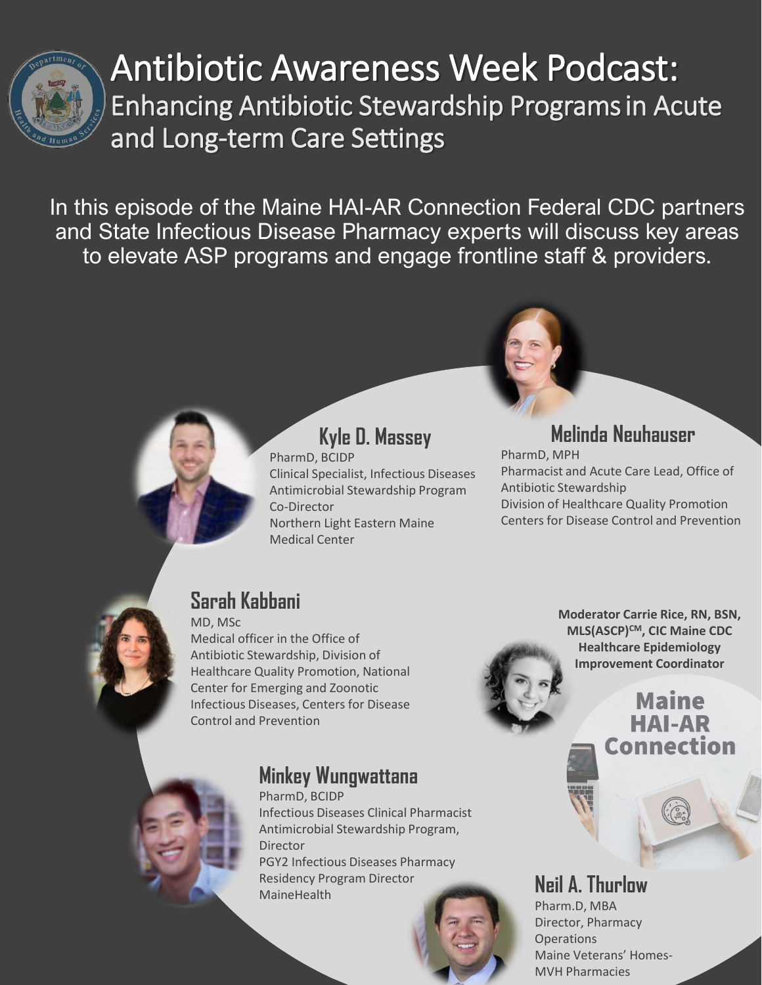

## Antibiotic Awareness Week Podcast: Enhancing Antibiotic Stewardship Programsin Acute and Long-term Care Settings

In this episode of the Maine HAI-AR Connection Federal CDC partners and State Infectious Disease Pharmacy experts will discuss key areas to elevate ASP programs and engage frontline staff & providers.

**Kyle D. Massey**

Clinical Specialist, Infectious Diseases Antimicrobial Stewardship Program

Northern Light Eastern Maine



#### **Melinda Neuhauser**

PharmD, MPH Pharmacist and Acute Care Lead, Office of Antibiotic Stewardship Division of Healthcare Quality Promotion Centers for Disease Control and Prevention

### **Sarah Kabbani**

MD, MSc Medical officer in the Office of Antibiotic Stewardship, Division of Healthcare Quality Promotion, National Center for Emerging and Zoonotic Infectious Diseases, Centers for Disease Control and Prevention

PharmD, BCIDP

Medical Center

Co-Director

#### **Minkey Wungwattana**

PharmD, BCIDP Infectious Diseases Clinical Pharmacist Antimicrobial Stewardship Program, Director PGY2 Infectious Diseases Pharmacy Residency Program Director Residency Program Director **Neil A. Thurlow**<br>MaineHealth

**Moderator Carrie Rice, RN, BSN, MLS(ASCP)CM, CIC Maine CDC Healthcare Epidemiology Improvement Coordinator**

#### **Maine** HAI-AR Connection



Pharm.D, MBA Director, Pharmacy **Operations** Maine Veterans' Homes-MVH Pharmacies